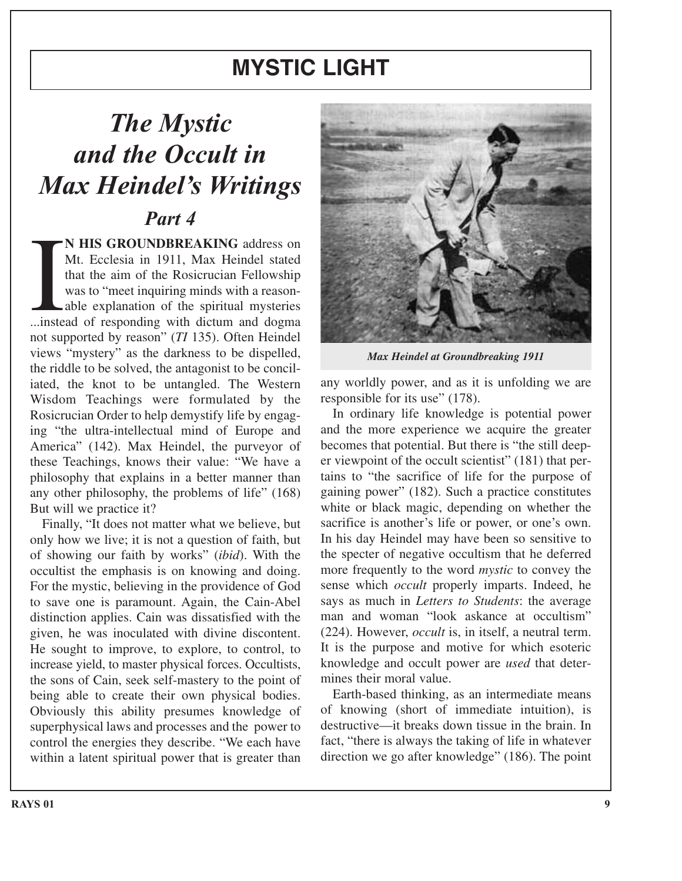## **MYSTIC LIGHT**

## *The Mystic and the Occult in Max Heindel's Writings Part 4*

**N HIS GROUNDBREAKING** address on<br>Mt. Ecclesia in 1911, Max Heindel stated<br>that the aim of the Rosicrucian Fellowship<br>was to "meet inquiring minds with a reason-<br>able explanation of the spiritual mysteries<br>...instead of re **N HIS GROUNDBREAKING** address on Mt. Ecclesia in 1911, Max Heindel stated that the aim of the Rosicrucian Fellowship was to "meet inquiring minds with a reasonable explanation of the spiritual mysteries not supported by reason" (*TI* 135). Often Heindel views "mystery" as the darkness to be dispelled, the riddle to be solved, the antagonist to be conciliated, the knot to be untangled. The Western Wisdom Teachings were formulated by the Rosicrucian Order to help demystify life by engaging "the ultra-intellectual mind of Europe and America" (142). Max Heindel, the purveyor of these Teachings, knows their value: "We have a philosophy that explains in a better manner than any other philosophy, the problems of life" (168) But will we practice it?

Finally, "It does not matter what we believe, but only how we live; it is not a question of faith, but of showing our faith by works" (*ibid*). With the occultist the emphasis is on knowing and doing. For the mystic, believing in the providence of God to save one is paramount. Again, the Cain-Abel distinction applies. Cain was dissatisfied with the given, he was inoculated with divine discontent. He sought to improve, to explore, to control, to increase yield, to master physical forces. Occultists, the sons of Cain, seek self-mastery to the point of being able to create their own physical bodies. Obviously this ability presumes knowledge of superphysical laws and processes and the power to control the energies they describe. "We each have within a latent spiritual power that is greater than



*Max Heindel at Groundbreaking 1911*

any worldly power, and as it is unfolding we are responsible for its use" (178).

In ordinary life knowledge is potential power and the more experience we acquire the greater becomes that potential. But there is "the still deeper viewpoint of the occult scientist" (181) that pertains to "the sacrifice of life for the purpose of gaining power" (182). Such a practice constitutes white or black magic, depending on whether the sacrifice is another's life or power, or one's own. In his day Heindel may have been so sensitive to the specter of negative occultism that he deferred more frequently to the word *mystic* to convey the sense which *occult* properly imparts. Indeed, he says as much in *Letters to Students*: the average man and woman "look askance at occultism" (224). However, *occult* is, in itself, a neutral term. It is the purpose and motive for which esoteric knowledge and occult power are *used* that determines their moral value.

Earth-based thinking, as an intermediate means of knowing (short of immediate intuition), is destructive—it breaks down tissue in the brain. In fact, "there is always the taking of life in whatever direction we go after knowledge" (186). The point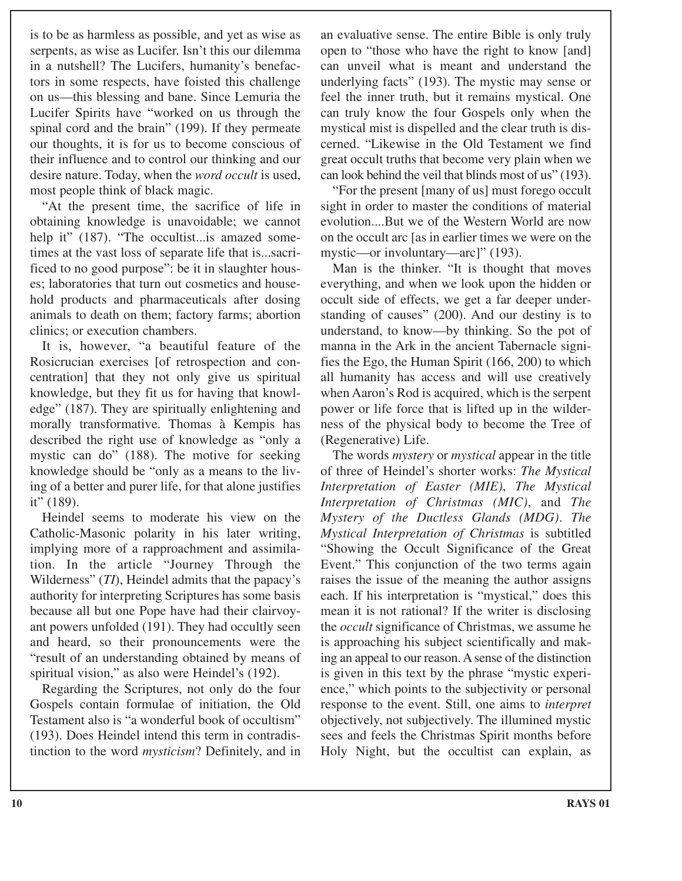is to be as harmless as possible, and yet as wise as serpents, as wise as Lucifer. Isn't this our dilemma in a nutshell? The Lucifers, humanity's benefactors in some respects, have foisted this challenge on us—this blessing and bane. Since Lemuria the Lucifer Spirits have "worked on us through the spinal cord and the brain" (199). If they permeate our thoughts, it is for us to become conscious of their influence and to control our thinking and our desire nature. Today, when the *word occult* is used, most people think of black magic.

"At the present time, the sacrifice of life in obtaining knowledge is unavoidable; we cannot help it" (187). "The occultist... is amazed sometimes at the vast loss of separate life that is...sacrificed to no good purpose": be it in slaughter houses; laboratories that turn out cosmetics and household products and pharmaceuticals after dosing animals to death on them; factory farms; abortion clinics; or execution chambers.

It is, however, "a beautiful feature of the Rosicrucian exercises [of retrospection and concentration] that they not only give us spiritual knowledge, but they fit us for having that knowledge" (187). They are spiritually enlightening and morally transformative. Thomas à Kempis has described the right use of knowledge as "only a mystic can do" (188). The motive for seeking knowledge should be "only as a means to the living of a better and purer life, for that alone justifies it" (189).

Heindel seems to moderate his view on the Catholic-Masonic polarity in his later writing, implying more of a rapproachment and assimilation. In the article "Journey Through the Wilderness" (*TI*), Heindel admits that the papacy's authority for interpreting Scriptures has some basis because all but one Pope have had their clairvoyant powers unfolded (191). They had occultly seen and heard, so their pronouncements were the "result of an understanding obtained by means of spiritual vision," as also were Heindel's (192).

Regarding the Scriptures, not only do the four Gospels contain formulae of initiation, the Old Testament also is "a wonderful book of occultism" (193). Does Heindel intend this term in contradistinction to the word *mysticism*? Definitely, and in

an evaluative sense. The entire Bible is only truly open to "those who have the right to know [and] can unveil what is meant and understand the underlying facts" (193). The mystic may sense or feel the inner truth, but it remains mystical. One can truly know the four Gospels only when the mystical mist is dispelled and the clear truth is discerned. "Likewise in the Old Testament we find great occult truths that become very plain when we can look behind the veil that blinds most of us" (193).

"For the present [many of us] must forego occult sight in order to master the conditions of material evolution....But we of the Western World are now on the occult arc [as in earlier times we were on the mystic—or involuntary—arc]" (193).

Man is the thinker. "It is thought that moves everything, and when we look upon the hidden or occult side of effects, we get a far deeper understanding of causes" (200). And our destiny is to understand, to know—by thinking. So the pot of manna in the Ark in the ancient Tabernacle signifies the Ego, the Human Spirit (166, 200) to which all humanity has access and will use creatively when Aaron's Rod is acquired, which is the serpent power or life force that is lifted up in the wilderness of the physical body to become the Tree of (Regenerative) Life.

The words *mystery* or *mystical* appear in the title of three of Heindel's shorter works: *The Mystical Interpretation of Easter (MIE)*, *The Mystical Interpretation of Christmas (MIC)*, and *The Mystery of the Ductless Glands (MDG)*. *The Mystical Interpretation of Christmas* is subtitled "Showing the Occult Significance of the Great Event." This conjunction of the two terms again raises the issue of the meaning the author assigns each. If his interpretation is "mystical," does this mean it is not rational? If the writer is disclosing the *occult* significance of Christmas, we assume he is approaching his subject scientifically and making an appeal to our reason. A sense of the distinction is given in this text by the phrase "mystic experience," which points to the subjectivity or personal response to the event. Still, one aims to *interpret* objectively, not subjectively. The illumined mystic sees and feels the Christmas Spirit months before Holy Night, but the occultist can explain, as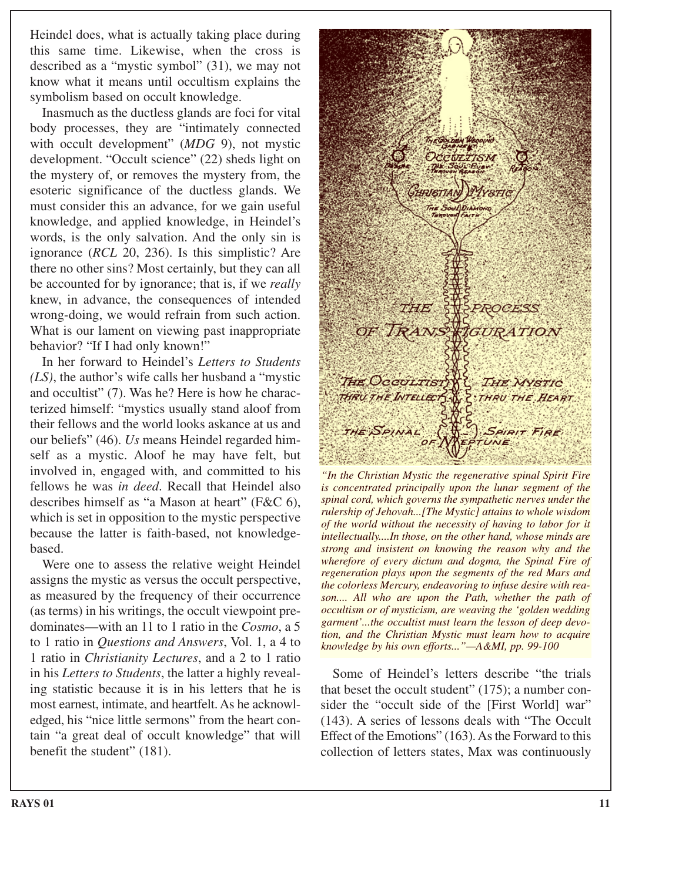Heindel does, what is actually taking place during this same time. Likewise, when the cross is described as a "mystic symbol" (31), we may not know what it means until occultism explains the symbolism based on occult knowledge.

Inasmuch as the ductless glands are foci for vital body processes, they are "intimately connected with occult development" (*MDG* 9), not mystic development. "Occult science" (22) sheds light on the mystery of, or removes the mystery from, the esoteric significance of the ductless glands. We must consider this an advance, for we gain useful knowledge, and applied knowledge, in Heindel's words, is the only salvation. And the only sin is ignorance (*RCL* 20, 236). Is this simplistic? Are there no other sins? Most certainly, but they can all be accounted for by ignorance; that is, if we *really* knew, in advance, the consequences of intended wrong-doing, we would refrain from such action. What is our lament on viewing past inappropriate behavior? "If I had only known!"

In her forward to Heindel's *Letters to Students (LS)*, the author's wife calls her husband a "mystic and occultist" (7). Was he? Here is how he characterized himself: "mystics usually stand aloof from their fellows and the world looks askance at us and our beliefs" (46). *Us* means Heindel regarded himself as a mystic. Aloof he may have felt, but involved in, engaged with, and committed to his fellows he was *in deed*. Recall that Heindel also describes himself as "a Mason at heart" (F&C 6), which is set in opposition to the mystic perspective because the latter is faith-based, not knowledgebased.

Were one to assess the relative weight Heindel assigns the mystic as versus the occult perspective, as measured by the frequency of their occurrence (as terms) in his writings, the occult viewpoint predominates—with an 11 to 1 ratio in the *Cosmo*, a 5 to 1 ratio in *Questions and Answers*, Vol. 1, a 4 to 1 ratio in *Christianity Lectures*, and a 2 to 1 ratio in his *Letters to Students*, the latter a highly revealing statistic because it is in his letters that he is most earnest, intimate, and heartfelt. As he acknowledged, his "nice little sermons" from the heart contain "a great deal of occult knowledge" that will benefit the student" (181).



*"In the Christian Mystic the regenerative spinal Spirit Fire is concentrated principally upon the lunar segment of the spinal cord, which governs the sympathetic nerves under the rulership of Jehovah...[The Mystic] attains to whole wisdom of the world without the necessity of having to labor for it intellectually....In those, on the other hand, whose minds are strong and insistent on knowing the reason why and the wherefore of every dictum and dogma, the Spinal Fire of regeneration plays upon the segments of the red Mars and the colorless Mercury, endeavoring to infuse desire with reason.... All who are upon the Path, whether the path of occultism or of mysticism, are weaving the 'golden wedding garment'...the occultist must learn the lesson of deep devotion, and the Christian Mystic must learn how to acquire knowledge by his own efforts..."—A&MI, pp. 99-100*

Some of Heindel's letters describe "the trials that beset the occult student" (175); a number consider the "occult side of the [First World] war" (143). A series of lessons deals with "The Occult Effect of the Emotions" (163). As the Forward to this collection of letters states, Max was continuously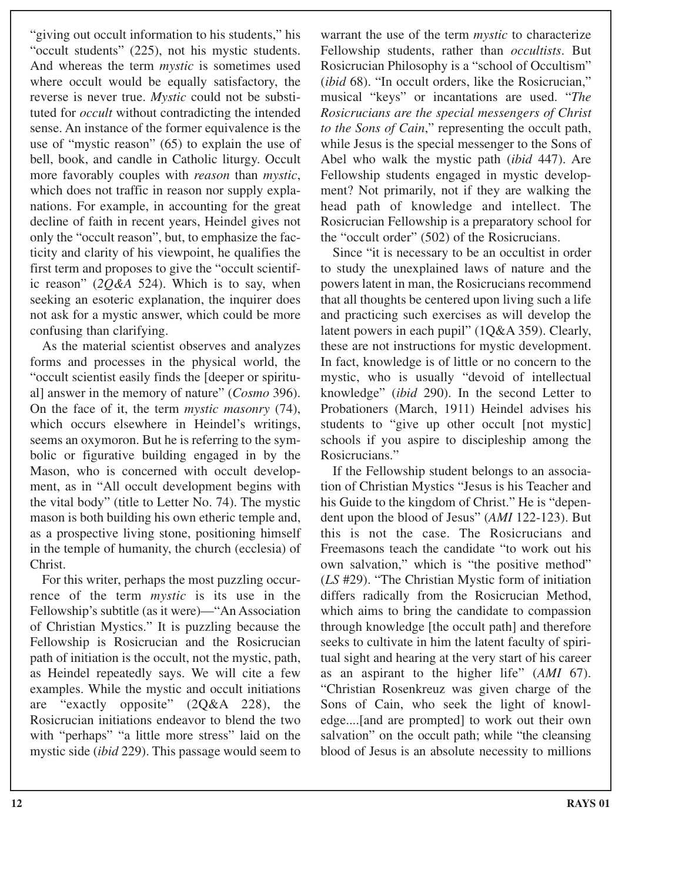"giving out occult information to his students," his "occult students" (225), not his mystic students. And whereas the term *mystic* is sometimes used where occult would be equally satisfactory, the reverse is never true. *Mystic* could not be substituted for *occult* without contradicting the intended sense. An instance of the former equivalence is the use of "mystic reason" (65) to explain the use of bell, book, and candle in Catholic liturgy. Occult more favorably couples with *reason* than *mystic*, which does not traffic in reason nor supply explanations. For example, in accounting for the great decline of faith in recent years, Heindel gives not only the "occult reason", but, to emphasize the facticity and clarity of his viewpoint, he qualifies the first term and proposes to give the "occult scientific reason" (*2Q&A* 524). Which is to say, when seeking an esoteric explanation, the inquirer does not ask for a mystic answer, which could be more confusing than clarifying.

As the material scientist observes and analyzes forms and processes in the physical world, the "occult scientist easily finds the [deeper or spiritual] answer in the memory of nature" (*Cosmo* 396). On the face of it, the term *mystic masonry* (74), which occurs elsewhere in Heindel's writings, seems an oxymoron. But he is referring to the symbolic or figurative building engaged in by the Mason, who is concerned with occult development, as in "All occult development begins with the vital body" (title to Letter No. 74). The mystic mason is both building his own etheric temple and, as a prospective living stone, positioning himself in the temple of humanity, the church (ecclesia) of Christ.

For this writer, perhaps the most puzzling occurrence of the term *mystic* is its use in the Fellowship's subtitle (as it were)—"An Association of Christian Mystics." It is puzzling because the Fellowship is Rosicrucian and the Rosicrucian path of initiation is the occult, not the mystic, path, as Heindel repeatedly says. We will cite a few examples. While the mystic and occult initiations are "exactly opposite" (2Q&A 228), the Rosicrucian initiations endeavor to blend the two with "perhaps" "a little more stress" laid on the mystic side (*ibid* 229). This passage would seem to warrant the use of the term *mystic* to characterize Fellowship students, rather than *occultists*. But Rosicrucian Philosophy is a "school of Occultism" (*ibid* 68). "In occult orders, like the Rosicrucian," musical "keys" or incantations are used. "*The Rosicrucians are the special messengers of Christ to the Sons of Cain*," representing the occult path, while Jesus is the special messenger to the Sons of Abel who walk the mystic path (*ibid* 447). Are Fellowship students engaged in mystic development? Not primarily, not if they are walking the head path of knowledge and intellect. The Rosicrucian Fellowship is a preparatory school for the "occult order" (502) of the Rosicrucians.

Since "it is necessary to be an occultist in order to study the unexplained laws of nature and the powers latent in man, the Rosicrucians recommend that all thoughts be centered upon living such a life and practicing such exercises as will develop the latent powers in each pupil" (1Q&A 359). Clearly, these are not instructions for mystic development. In fact, knowledge is of little or no concern to the mystic, who is usually "devoid of intellectual knowledge" (*ibid* 290). In the second Letter to Probationers (March, 1911) Heindel advises his students to "give up other occult [not mystic] schools if you aspire to discipleship among the Rosicrucians."

If the Fellowship student belongs to an association of Christian Mystics "Jesus is his Teacher and his Guide to the kingdom of Christ." He is "dependent upon the blood of Jesus" (*AMI* 122-123). But this is not the case. The Rosicrucians and Freemasons teach the candidate "to work out his own salvation," which is "the positive method" (*LS* #29). "The Christian Mystic form of initiation differs radically from the Rosicrucian Method, which aims to bring the candidate to compassion through knowledge [the occult path] and therefore seeks to cultivate in him the latent faculty of spiritual sight and hearing at the very start of his career as an aspirant to the higher life" (*AMI* 67). "Christian Rosenkreuz was given charge of the Sons of Cain, who seek the light of knowledge....[and are prompted] to work out their own salvation" on the occult path; while "the cleansing blood of Jesus is an absolute necessity to millions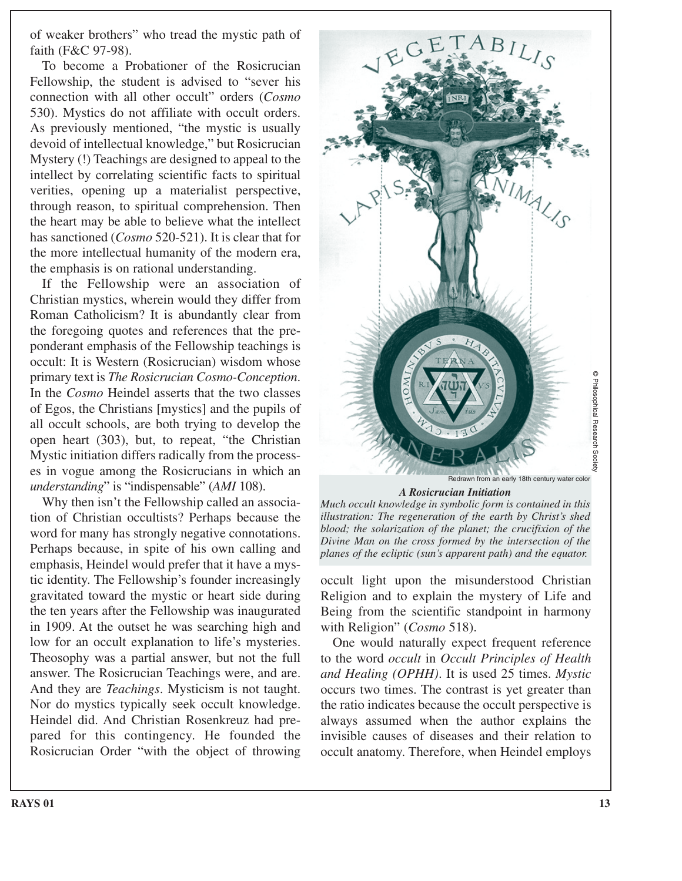of weaker brothers" who tread the mystic path of faith (F&C 97-98).

To become a Probationer of the Rosicrucian Fellowship, the student is advised to "sever his connection with all other occult" orders (*Cosmo* 530). Mystics do not affiliate with occult orders. As previously mentioned, "the mystic is usually devoid of intellectual knowledge," but Rosicrucian Mystery (!) Teachings are designed to appeal to the intellect by correlating scientific facts to spiritual verities, opening up a materialist perspective, through reason, to spiritual comprehension. Then the heart may be able to believe what the intellect has sanctioned (*Cosmo* 520-521). It is clear that for the more intellectual humanity of the modern era, the emphasis is on rational understanding.

If the Fellowship were an association of Christian mystics, wherein would they differ from Roman Catholicism? It is abundantly clear from the foregoing quotes and references that the preponderant emphasis of the Fellowship teachings is occult: It is Western (Rosicrucian) wisdom whose primary text is *The Rosicrucian Cosmo-Conception*. In the *Cosmo* Heindel asserts that the two classes of Egos, the Christians [mystics] and the pupils of all occult schools, are both trying to develop the open heart (303), but, to repeat, "the Christian Mystic initiation differs radically from the processes in vogue among the Rosicrucians in which an *understanding*" is "indispensable" (*AMI* 108).

Why then isn't the Fellowship called an association of Christian occultists? Perhaps because the word for many has strongly negative connotations. Perhaps because, in spite of his own calling and emphasis, Heindel would prefer that it have a mystic identity. The Fellowship's founder increasingly gravitated toward the mystic or heart side during the ten years after the Fellowship was inaugurated in 1909. At the outset he was searching high and low for an occult explanation to life's mysteries. Theosophy was a partial answer, but not the full answer. The Rosicrucian Teachings were, and are. And they are *Teachings*. Mysticism is not taught. Nor do mystics typically seek occult knowledge. Heindel did. And Christian Rosenkreuz had prepared for this contingency. He founded the Rosicrucian Order "with the object of throwing



*Much occult knowledge in symbolic form is contained in this illustration: The regeneration of the earth by Christ's shed blood; the solarization of the planet; the crucifixion of the Divine Man on the cross formed by the intersection of the*

occult light upon the misunderstood Christian Religion and to explain the mystery of Life and Being from the scientific standpoint in harmony with Religion" (*Cosmo* 518).

*planes of the ecliptic (sun's apparent path) and the equator.*

One would naturally expect frequent reference to the word *occult* in *Occult Principles of Health and Healing (OPHH)*. It is used 25 times. *Mystic* occurs two times. The contrast is yet greater than the ratio indicates because the occult perspective is always assumed when the author explains the invisible causes of diseases and their relation to occult anatomy. Therefore, when Heindel employs